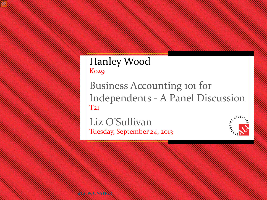#### Hanley Wood **Ko29**

Business Accounting 101 for Independents - A Panel Discussion T21

#T21 #CONSTRUCT 1

Liz O'Sullivan Tuesday, September 24, 2013

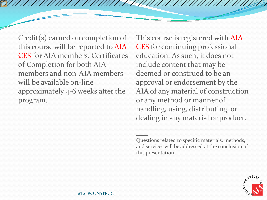Credit(s) earned on completion of this course will be reported to AIA CES for AIA members. Certificates of Completion for both AIA members and non-AIA members will be available on-line approximately 4-6 weeks after the program.

This course is registered with AIA CES for continuing professional education. As such, it does not include content that may be deemed or construed to be an approval or endorsement by the AIA of any material of construction or any method or manner of handling, using, distributing, or dealing in any material or product.

Questions related to specific materials, methods, and services will be addressed at the conclusion of this presentation.

\_\_\_\_\_\_\_\_\_\_\_\_\_\_\_\_\_\_\_\_\_\_\_\_\_\_\_\_\_\_\_\_\_\_\_\_\_\_\_

 $\sim$ 

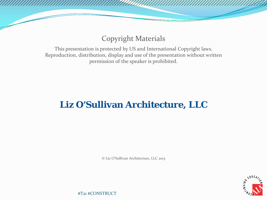#### Copyright Materials

This presentation is protected by US and International Copyright laws. Reproduction, distribution, display and use of the presentation without written permission of the speaker is prohibited.

#### **Liz O'Sullivan Architecture, LLC**

© Liz O'Sullivan Architecture, LLC 2013

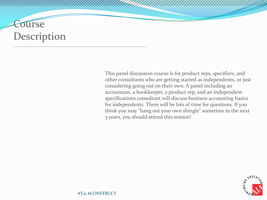#### **Ourse Description**

This panel discussion course is for product reps, specifiers, and other consultants who are getting started as independents, or just considering going out on their own. A panel including an accountant, a bookkeeper, a product rep, and an independent specifications consultant will discuss business accounting basics for independents. There will be lots of time for questions. If you think you may "hang out your own shingle" sometime in the next 5 years, you should attend this session!

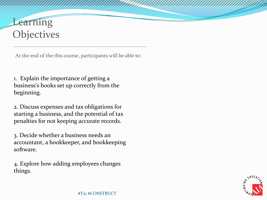#### **Learning Objectives**

At the end of the this course, participants will be able to:

1. Explain the importance of getting a business's books set up correctly from the beginning.

2. Discuss expenses and tax obligations for starting a business, and the potential of tax penalties for not keeping accurate records.

3. Decide whether a business needs an accountant, a bookkeeper, and bookkeeping software.

4. Explore how adding employees changes things.

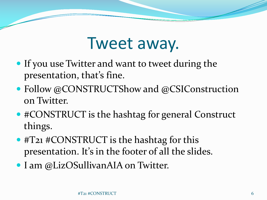#### Tweet away.

- If you use Twitter and want to tweet during the presentation, that's fine.
- Follow @CONSTRUCTShow and @CSIConstruction on Twitter.
- #CONSTRUCT is the hashtag for general Construct things.
- #T21 #CONSTRUCT is the hashtag for this presentation. It's in the footer of all the slides.
- I am @LizOSullivanAIA on Twitter.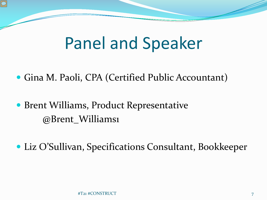## Panel and Speaker

- Gina M. Paoli, CPA (Certified Public Accountant)
- Brent Williams, Product Representative @Brent\_Williams1
- Liz O'Sullivan, Specifications Consultant, Bookkeeper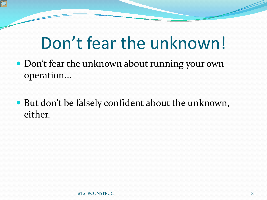# Don't fear the unknown!

- Don't fear the unknown about running your own operation...
- But don't be falsely confident about the unknown, either.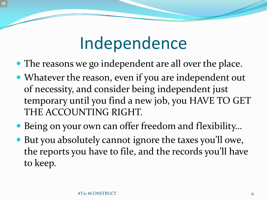# Independence

- The reasons we go independent are all over the place.
- Whatever the reason, even if you are independent out of necessity, and consider being independent just temporary until you find a new job, you HAVE TO GET THE ACCOUNTING RIGHT.
- Being on your own can offer freedom and flexibility…
- But you absolutely cannot ignore the taxes you'll owe, the reports you have to file, and the records you'll have to keep.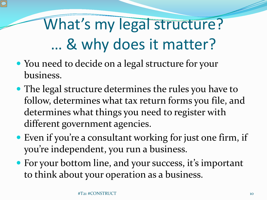# What's my legal structure? … & why does it matter?

- You need to decide on a legal structure for your business.
- The legal structure determines the rules you have to follow, determines what tax return forms you file, and determines what things you need to register with different government agencies.
- Even if you're a consultant working for just one firm, if you're independent, you run a business.
- For your bottom line, and your success, it's important to think about your operation as a business.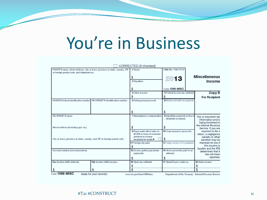# You're in Business

|                                                                          |                                                                             | CORRECTED (if checked)                                      |                                                           |                                            |  |
|--------------------------------------------------------------------------|-----------------------------------------------------------------------------|-------------------------------------------------------------|-----------------------------------------------------------|--------------------------------------------|--|
| or foreign postal code, and telephone no.                                | PAYER'S name, street address, city or town, province or state, country, ZIP | 1 Rents                                                     | OMB No. 1545-0115                                         |                                            |  |
|                                                                          |                                                                             |                                                             | 2013                                                      | <b>Miscellaneous</b>                       |  |
|                                                                          |                                                                             | 2 Royalties                                                 |                                                           | Income                                     |  |
|                                                                          |                                                                             |                                                             |                                                           |                                            |  |
|                                                                          |                                                                             |                                                             | Form 1099-MISC                                            |                                            |  |
|                                                                          |                                                                             | 3 Other income                                              | 4 Federal income tax withheld                             | Copy B                                     |  |
|                                                                          |                                                                             | \$                                                          | \$                                                        | <b>For Recipient</b>                       |  |
| PAYER'S federal identification number                                    | RECIPIENT'S identification number                                           | 5 Fishing boat proceeds                                     | 6 Medical and health care payments                        |                                            |  |
|                                                                          |                                                                             |                                                             |                                                           |                                            |  |
|                                                                          |                                                                             |                                                             |                                                           |                                            |  |
|                                                                          |                                                                             | \$                                                          | \$                                                        |                                            |  |
| <b>RECIPIENT'S name</b>                                                  |                                                                             |                                                             | 8 Substitute payments in lieu of<br>dividends or interest | This is important tax                      |  |
|                                                                          |                                                                             |                                                             |                                                           | information and is                         |  |
|                                                                          |                                                                             |                                                             |                                                           | being furnished to<br>the Internal Revenue |  |
| Street address (including apt. no.)                                      |                                                                             | \$                                                          | \$                                                        | Service. If you are                        |  |
|                                                                          |                                                                             | 9 Payer made direct sales of<br>\$5,000 or more of consumer | 10 Crop insurance proceeds                                | required to file a                         |  |
|                                                                          |                                                                             | products to a buyer                                         |                                                           | return, a negligence<br>penalty or other   |  |
| City or town, province or state, country, and ZIP or foreign postal code |                                                                             | (recipient) for resale ▶                                    | $\mathfrak{F}$                                            | sanction may be                            |  |
|                                                                          |                                                                             | 11 Foreign tax paid                                         | 12 Foreign country or U.S. possession                     | imposed on you if<br>this income is        |  |
|                                                                          |                                                                             |                                                             |                                                           | taxable and the IRS                        |  |
| Account number (see instructions)                                        |                                                                             | 13 Excess golden parachute<br>payments                      | 14 Gross proceeds paid to an<br>attorney                  | determines that it                         |  |
|                                                                          |                                                                             |                                                             |                                                           | has not been<br>reported.                  |  |
|                                                                          |                                                                             |                                                             |                                                           |                                            |  |
| 15a Section 409A deferrals                                               | 15b Section 409A income                                                     | 16 State tax withheld                                       | 17 State/Payer's state no.                                | 18 State income                            |  |
|                                                                          |                                                                             | \$                                                          |                                                           | \$                                         |  |
|                                                                          |                                                                             |                                                             |                                                           |                                            |  |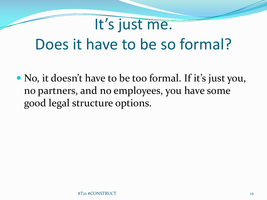#### It's just me.

#### Does it have to be so formal?

• No, it doesn't have to be too formal. If it's just you, no partners, and no employees, you have some good legal structure options.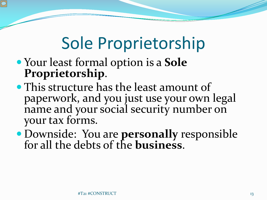# Sole Proprietorship

- Your least formal option is a **Sole Proprietorship**.
- This structure has the least amount of paperwork, and you just use your own legal name and your social security number on your tax forms.
- Downside: You are **personally** responsible for all the debts of the **business**.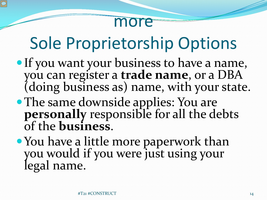

# Sole Proprietorship Options

- If you want your business to have a name, you can register a **trade name**, or a DBA (doing business as) name, with your state.
- The same downside applies: You are **personally** responsible for all the debts of the **business**.
- You have a little more paperwork than you would if you were just using your legal name.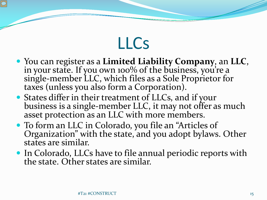## LLCs

- You can register as a **Limited Liability Company**, an **LLC**, in your state. If you own 100% of the business, you're a single-member LLC, which files as a Sole Proprietor for<br>taxes (unless you also form a Corporation).
- States differ in their treatment of LLCs, and if your business is a single-member LLC, it may not offer as much asset protection as an LLC with more members.
- To form an LLC in Colorado, you file an "Articles of Organization" with the state, and you adopt bylaws. Other states are similar.
- In Colorado, LLCs have to file annual periodic reports with the state. Other states are similar.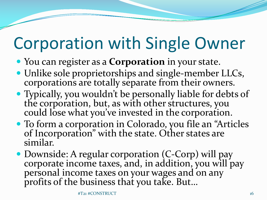# Corporation with Single Owner

- You can register as a **Corporation** in your state.
- Unlike sole proprietorships and single-member LLCs, corporations are totally separate from their owners.
- Typically, you wouldn't be personally liable for debts of the corporation, but, as with other structures, you could lose what you've invested in the corporation.
- To form a corporation in Colorado, you file an "Articles of Incorporation" with the state. Other states are similar.
- Downside: A regular corporation (C-Corp) will pay corporate income taxes, and, in addition, you will pay personal income taxes on your wages and on any profits of the business that you take. But…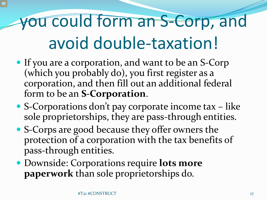# you could form an S-Corp, and avoid double-taxation!

- If you are a corporation, and want to be an S-Corp (which you probably do), you first register as a corporation, and then fill out an additional federal form to be an **S-Corporation**.
- S-Corporations don't pay corporate income tax like sole proprietorships, they are pass-through entities.
- S-Corps are good because they offer owners the protection of a corporation with the tax benefits of pass-through entities.
- Downside: Corporations require **lots more paperwork** than sole proprietorships do.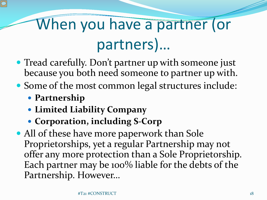# When you have a partner (or partners)…

- Tread carefully. Don't partner up with someone just because you both need someone to partner up with.
- Some of the most common legal structures include:
	- **Partnership**
	- **Limited Liability Company**
	- **Corporation, including S-Corp**
- All of these have more paperwork than Sole Proprietorships, yet a regular Partnership may not offer any more protection than a Sole Proprietorship. Each partner may be 100% liable for the debts of the Partnership. However…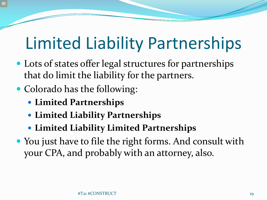# Limited Liability Partnerships

- Lots of states offer legal structures for partnerships that do limit the liability for the partners.
- Colorado has the following:
	- **Limited Partnerships**
	- **Limited Liability Partnerships**
	- **Limited Liability Limited Partnerships**
- You just have to file the right forms. And consult with your CPA, and probably with an attorney, also.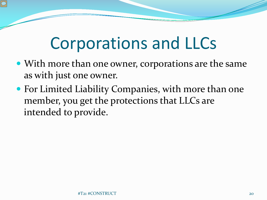# Corporations and LLCs

- With more than one owner, corporations are the same as with just one owner.
- For Limited Liability Companies, with more than one member, you get the protections that LLCs are intended to provide.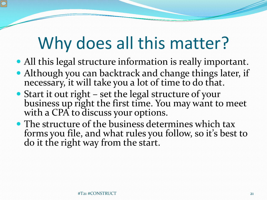# Why does all this matter?

- All this legal structure information is really important.
- Although you can backtrack and change things later, if necessary, it will take you a lot of time to do that.
- Start it out right set the legal structure of your business up right the first time. You may want to meet with a CPA to discuss your options.
- The structure of the business determines which tax forms you file, and what rules you follow, so it's best to do it the right way from the start.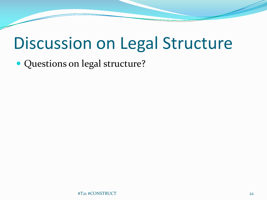# Discussion on Legal Structure

• Questions on legal structure?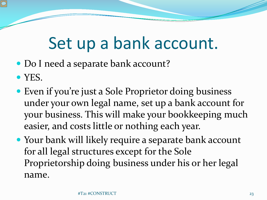# Set up a bank account.

- Do I need a separate bank account?
- YES.
- Even if you're just a Sole Proprietor doing business under your own legal name, set up a bank account for your business. This will make your bookkeeping much easier, and costs little or nothing each year.
- Your bank will likely require a separate bank account for all legal structures except for the Sole Proprietorship doing business under his or her legal name.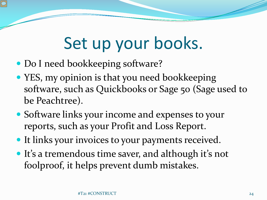# Set up your books.

- Do I need bookkeeping software?
- YES, my opinion is that you need bookkeeping software, such as Quickbooks or Sage 50 (Sage used to be Peachtree).
- Software links your income and expenses to your reports, such as your Profit and Loss Report.
- It links your invoices to your payments received.
- It's a tremendous time saver, and although it's not foolproof, it helps prevent dumb mistakes.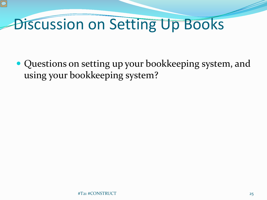#### Discussion on Setting Up Books

 Questions on setting up your bookkeeping system, and using your bookkeeping system?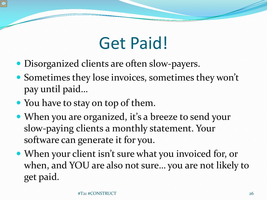# Get Paid!

- Disorganized clients are often slow-payers.
- Sometimes they lose invoices, sometimes they won't pay until paid…
- You have to stay on top of them.
- When you are organized, it's a breeze to send your slow-paying clients a monthly statement. Your software can generate it for you.
- When your client isn't sure what you invoiced for, or when, and YOU are also not sure… you are not likely to get paid.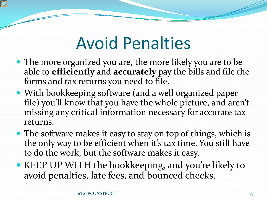# Avoid Penalties

- The more organized you are, the more likely you are to be able to **efficiently** and **accurately** pay the bills and file the forms and tax returns you need to file.
- With bookkeeping software (and a well organized paper file) you'll know that you have the whole picture, and aren't missing any critical information necessary for accurate tax returns.
- The software makes it easy to stay on top of things, which is the only way to be efficient when it's tax time. You still have to do the work, but the software makes it easy.
- KEEP UP WITH the bookkeeping, and you're likely to avoid penalties, late fees, and bounced checks.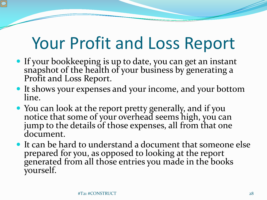# Your Profit and Loss Report

- If your bookkeeping is up to date, you can get an instant snapshot of the health of your business by generating a Profit and Loss Report.
- It shows your expenses and your income, and your bottom line.
- You can look at the report pretty generally, and if you notice that some of your overhead seems high, you can jump to the details of those expenses, all from that one document.
- It can be hard to understand a document that someone else prepared for you, as opposed to looking at the report generated from all those entries you made in the books yourself.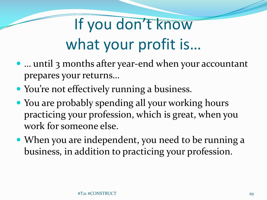# If you don't know what your profit is…

- ... until 3 months after year-end when your accountant prepares your returns…
- You're not effectively running a business.
- You are probably spending all your working hours practicing your profession, which is great, when you work for someone else.
- When you are independent, you need to be running a business, in addition to practicing your profession.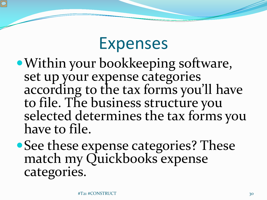#### Expenses

- Within your bookkeeping software, set up your expense categories according to the tax forms you'll have to file. The business structure you selected determines the tax forms you have to file.
- See these expense categories? These match my Quickbooks expense categories.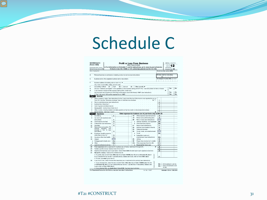## Schedule C

| <b>SCHEDULE C</b><br><b>Profit or Loss From Business</b><br>(Form 1040)<br>(Sole Proprietorship)                                                                                                                                     |                                                                                                                                                                                                                |        |                 | OMB No. 1545-0074                                                                                                                                   |          |                                                                                                                                 |                                          |                                |    |
|--------------------------------------------------------------------------------------------------------------------------------------------------------------------------------------------------------------------------------------|----------------------------------------------------------------------------------------------------------------------------------------------------------------------------------------------------------------|--------|-----------------|-----------------------------------------------------------------------------------------------------------------------------------------------------|----------|---------------------------------------------------------------------------------------------------------------------------------|------------------------------------------|--------------------------------|----|
| For information on Schedule C and its instructions, go to www.irs.gov/schedulec.<br>Department of the Treasury<br>Attach to Form 1040, 1040NR, or 1041; partnerships generally must file Form 1065.<br>Internal Revenue Service (99) |                                                                                                                                                                                                                |        |                 |                                                                                                                                                     |          | Attachment<br>Sequence No. 09                                                                                                   |                                          |                                |    |
|                                                                                                                                                                                                                                      | Name of proprietor                                                                                                                                                                                             |        |                 |                                                                                                                                                     |          |                                                                                                                                 |                                          | Social security number (SSN)   |    |
| A                                                                                                                                                                                                                                    | Principal business or profession, including product or service (see instructions)                                                                                                                              |        |                 |                                                                                                                                                     |          |                                                                                                                                 | <b>B</b> Enter code from instructions    |                                |    |
| c                                                                                                                                                                                                                                    | Business name. If no separate business name, leave blank.                                                                                                                                                      |        |                 |                                                                                                                                                     |          |                                                                                                                                 | D Employer ID number (EIN), (see instr.) |                                |    |
| E                                                                                                                                                                                                                                    | Business address (including suite or room no.)                                                                                                                                                                 |        |                 |                                                                                                                                                     |          |                                                                                                                                 |                                          |                                |    |
|                                                                                                                                                                                                                                      | City, town or post office, state, and ZIP code                                                                                                                                                                 |        |                 |                                                                                                                                                     |          |                                                                                                                                 |                                          |                                |    |
| F                                                                                                                                                                                                                                    | Accounting method: (1) Cash                                                                                                                                                                                    |        |                 | (2) Accrual                                                                                                                                         |          | (3) Other (specify) $\blacktriangleright$                                                                                       |                                          |                                |    |
| G                                                                                                                                                                                                                                    |                                                                                                                                                                                                                |        |                 |                                                                                                                                                     |          | Did you "materially participate" in the operation of this business during 2012? If "No," see instructions for limit on losses . |                                          |                                | No |
| н                                                                                                                                                                                                                                    |                                                                                                                                                                                                                |        |                 |                                                                                                                                                     |          |                                                                                                                                 |                                          |                                |    |
|                                                                                                                                                                                                                                      |                                                                                                                                                                                                                |        |                 |                                                                                                                                                     |          | Did you make any payments in 2012 that would require you to file Form(s) 1099? (see instructions)                               |                                          | Yes                            | No |
|                                                                                                                                                                                                                                      |                                                                                                                                                                                                                |        |                 | If "Yes," did you or will you file required Forms 1099?                                                                                             |          |                                                                                                                                 |                                          | Yes                            | No |
|                                                                                                                                                                                                                                      | Part Income                                                                                                                                                                                                    |        |                 |                                                                                                                                                     |          |                                                                                                                                 |                                          |                                |    |
| 1                                                                                                                                                                                                                                    |                                                                                                                                                                                                                |        |                 |                                                                                                                                                     |          | Gross receipts or sales. See instructions for line 1 and check the box if this income was reported to you on                    |                                          |                                |    |
|                                                                                                                                                                                                                                      |                                                                                                                                                                                                                |        |                 |                                                                                                                                                     |          |                                                                                                                                 | 1                                        |                                |    |
| $\overline{2}$                                                                                                                                                                                                                       |                                                                                                                                                                                                                |        |                 | Returns and allowances (see instructions)                                                                                                           |          |                                                                                                                                 | $\overline{2}$                           |                                |    |
| 3                                                                                                                                                                                                                                    | Subtract line 2 from line 1                                                                                                                                                                                    |        |                 | The company's company's company's company's                                                                                                         |          |                                                                                                                                 | $\mathbf{3}$                             |                                |    |
| $\overline{\mathbf{4}}$                                                                                                                                                                                                              | Cost of goods sold (from line 42)                                                                                                                                                                              |        | o.              |                                                                                                                                                     |          |                                                                                                                                 | 4                                        |                                |    |
| 5                                                                                                                                                                                                                                    |                                                                                                                                                                                                                |        |                 | Gross profit. Subtract line 4 from line 3                                                                                                           |          |                                                                                                                                 | 5                                        |                                |    |
| 6                                                                                                                                                                                                                                    |                                                                                                                                                                                                                |        |                 |                                                                                                                                                     |          | Other income, including federal and state gasoline or fuel tax credit or refund (see instructions).                             | 6                                        |                                |    |
| 7                                                                                                                                                                                                                                    | Gross income. Add lines 5 and 6                                                                                                                                                                                |        |                 |                                                                                                                                                     |          |                                                                                                                                 | $\overline{7}$                           |                                |    |
|                                                                                                                                                                                                                                      | <b>Part II</b> Expenses                                                                                                                                                                                        |        |                 |                                                                                                                                                     |          | Enter expenses for business use of your home only on line 30.                                                                   |                                          |                                |    |
| 8                                                                                                                                                                                                                                    |                                                                                                                                                                                                                |        | 8               |                                                                                                                                                     | 18       | Office expense (see instructions)                                                                                               | 18                                       |                                |    |
| $\Omega$                                                                                                                                                                                                                             | Advertising                                                                                                                                                                                                    |        |                 |                                                                                                                                                     | 19       | Pension and profit-sharing plans                                                                                                | 19                                       |                                |    |
|                                                                                                                                                                                                                                      | Car and truck expenses (see<br>instructions).                                                                                                                                                                  |        | 9               |                                                                                                                                                     | 20       | Rent or lease (see instructions):                                                                                               |                                          |                                |    |
| 10                                                                                                                                                                                                                                   | Commissions and fees                                                                                                                                                                                           | $\sim$ | 10              |                                                                                                                                                     | $\alpha$ | Vehicles, machinery, and equipment                                                                                              | 20a                                      |                                |    |
| 11                                                                                                                                                                                                                                   |                                                                                                                                                                                                                |        | 11              |                                                                                                                                                     | ь        |                                                                                                                                 | 20 <sub>b</sub>                          |                                |    |
| 12                                                                                                                                                                                                                                   | Contract labor (see instructions)                                                                                                                                                                              |        | 12              |                                                                                                                                                     | 21       | Other business property                                                                                                         | 21                                       |                                |    |
| 13                                                                                                                                                                                                                                   | Depletion .<br>Depreciation and section 179                                                                                                                                                                    |        |                 |                                                                                                                                                     |          | Repairs and maintenance.                                                                                                        | 22                                       |                                |    |
|                                                                                                                                                                                                                                      | expense deduction inot                                                                                                                                                                                         |        |                 |                                                                                                                                                     | 22<br>23 | Supplies (not included in Part III).                                                                                            | 23                                       |                                |    |
|                                                                                                                                                                                                                                      | included in Part III) (see                                                                                                                                                                                     |        |                 |                                                                                                                                                     |          | Taxes and licenses                                                                                                              |                                          |                                |    |
|                                                                                                                                                                                                                                      | instructions).                                                                                                                                                                                                 |        | 13              |                                                                                                                                                     | 24       | Travel, meals, and entertainment:                                                                                               |                                          |                                |    |
| 14                                                                                                                                                                                                                                   | Employee benefit programs                                                                                                                                                                                      |        |                 |                                                                                                                                                     | a        | Travel,                                                                                                                         | 24a                                      |                                |    |
|                                                                                                                                                                                                                                      | (other than on line 19).                                                                                                                                                                                       |        | 14<br>15        |                                                                                                                                                     | b        | Deductible meals and                                                                                                            |                                          |                                |    |
| 15                                                                                                                                                                                                                                   | Insurance (other than health)                                                                                                                                                                                  |        |                 |                                                                                                                                                     | 25       | entertainment (see instructions).                                                                                               | 24b<br>25                                |                                |    |
| 16                                                                                                                                                                                                                                   | Interest:                                                                                                                                                                                                      |        | 16a             |                                                                                                                                                     | 26       | Utilities<br>Wages (less employment credits).                                                                                   | 26                                       |                                |    |
| a<br>ь                                                                                                                                                                                                                               | Mortgage (paid to banks, etc.)                                                                                                                                                                                 |        | 16 <sub>b</sub> |                                                                                                                                                     | 27a      |                                                                                                                                 | 27a                                      |                                |    |
| 17                                                                                                                                                                                                                                   | Other<br>Legal and professional services                                                                                                                                                                       |        | 17              |                                                                                                                                                     |          | Other expenses (from line 48)                                                                                                   | 27 <sub>b</sub>                          |                                |    |
| 28                                                                                                                                                                                                                                   |                                                                                                                                                                                                                |        |                 |                                                                                                                                                     |          | b Reserved for future use<br>Total expenses before expenses for business use of home. Add lines 8 through 27a                   | 28                                       |                                |    |
| 29                                                                                                                                                                                                                                   |                                                                                                                                                                                                                |        |                 |                                                                                                                                                     |          |                                                                                                                                 | 29                                       |                                |    |
| 30                                                                                                                                                                                                                                   |                                                                                                                                                                                                                |        |                 |                                                                                                                                                     |          | Expenses for business use of your home. Attach Form 8829. Do not report such expenses elsewhere                                 | 30                                       |                                |    |
| 31                                                                                                                                                                                                                                   | Net profit or (loss). Subtract line 30 from line 29.                                                                                                                                                           |        |                 |                                                                                                                                                     |          |                                                                                                                                 |                                          |                                |    |
|                                                                                                                                                                                                                                      |                                                                                                                                                                                                                |        |                 |                                                                                                                                                     |          |                                                                                                                                 |                                          |                                |    |
|                                                                                                                                                                                                                                      | . If a profit, enter on both Form 1040, line 12 (or Form 1040NR, line 13) and on Schedule SE, line 2.<br>(If you checked the box on line 1, see instructions). Estates and trusts, enter on Form 1041, line 3. |        |                 |                                                                                                                                                     |          | 31                                                                                                                              |                                          |                                |    |
|                                                                                                                                                                                                                                      | . If a loss, you must go to line 32.                                                                                                                                                                           |        |                 |                                                                                                                                                     |          |                                                                                                                                 |                                          |                                |    |
| 32                                                                                                                                                                                                                                   |                                                                                                                                                                                                                |        |                 |                                                                                                                                                     |          |                                                                                                                                 |                                          |                                |    |
|                                                                                                                                                                                                                                      |                                                                                                                                                                                                                |        |                 |                                                                                                                                                     |          | If you have a loss, check the box that describes your investment in this activity (see instructions).                           |                                          |                                |    |
|                                                                                                                                                                                                                                      |                                                                                                                                                                                                                |        |                 |                                                                                                                                                     |          | . If you checked 32a, enter the loss on both Form 1040, line 12, (or Form 1040NR, line 13) and                                  |                                          | 32a All investment is at risk. |    |
|                                                                                                                                                                                                                                      |                                                                                                                                                                                                                |        |                 |                                                                                                                                                     |          | on Schedule SE, line 2. (If you checked the box on line 1, see the line 31 instructions). Estates and                           |                                          | 32b Some investment is not     |    |
|                                                                                                                                                                                                                                      | trusts, enter on Form 1041, line 3.                                                                                                                                                                            |        |                 |                                                                                                                                                     |          |                                                                                                                                 |                                          | at risk.                       |    |
|                                                                                                                                                                                                                                      |                                                                                                                                                                                                                |        |                 | . If you checked 32b, you must attach Form 6198. Your loss may be limited.<br>For Panerwork Reduction Act Notice, see your tax return instructions. |          | Cat. No. 11334D                                                                                                                 |                                          | Schedule C (Form 1040) 2012    |    |

#T21 #CONSTRUCT 31

 $\boxed{\bigcirc}$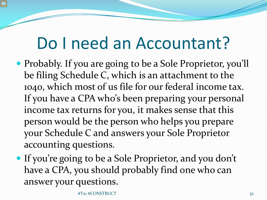## Do I need an Accountant?

- Probably. If you are going to be a Sole Proprietor, you'll be filing Schedule C, which is an attachment to the 1040, which most of us file for our federal income tax. If you have a CPA who's been preparing your personal income tax returns for you, it makes sense that this person would be the person who helps you prepare your Schedule C and answers your Sole Proprietor accounting questions.
- If you're going to be a Sole Proprietor, and you don't have a CPA, you should probably find one who can answer your questions.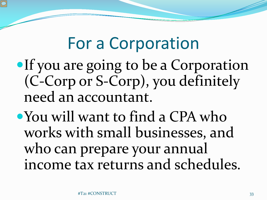## For a Corporation

- If you are going to be a Corporation (C-Corp or S-Corp), you definitely need an accountant.
- You will want to find a CPA who works with small businesses, and who can prepare your annual income tax returns and schedules.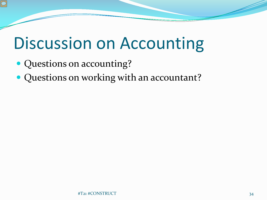# Discussion on Accounting

- Questions on accounting?
- Questions on working with an accountant?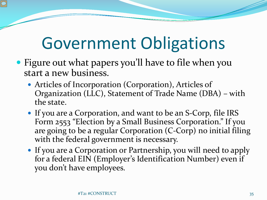# Government Obligations

- Figure out what papers you'll have to file when you start a new business.
	- Articles of Incorporation (Corporation), Articles of Organization (LLC), Statement of Trade Name (DBA) – with the state.
	- If you are a Corporation, and want to be an S-Corp, file IRS Form 2553 "Election by a Small Business Corporation." If you are going to be a regular Corporation (C-Corp) no initial filing with the federal government is necessary.
	- If you are a Corporation or Partnership, you will need to apply for a federal EIN (Employer's Identification Number) even if you don't have employees.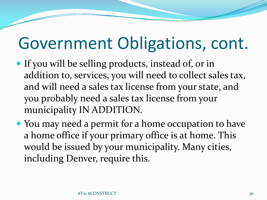# Government Obligations, cont.

- If you will be selling products, instead of, or in addition to, services, you will need to collect sales tax, and will need a sales tax license from your state, and you probably need a sales tax license from your municipality IN ADDITION.
- You may need a permit for a home occupation to have a home office if your primary office is at home. This would be issued by your municipality. Many cities, including Denver, require this.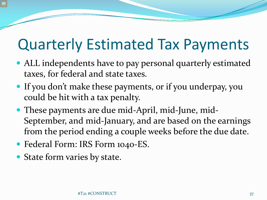#### Quarterly Estimated Tax Payments

- ALL independents have to pay personal quarterly estimated taxes, for federal and state taxes.
- If you don't make these payments, or if you underpay, you could be hit with a tax penalty.
- These payments are due mid-April, mid-June, mid-September, and mid-January, and are based on the earnings from the period ending a couple weeks before the due date.
- Federal Form: IRS Form 1040-ES.
- State form varies by state.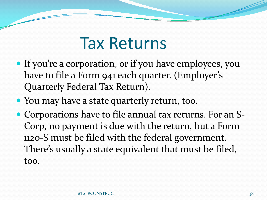#### Tax Returns

- If you're a corporation, or if you have employees, you have to file a Form 941 each quarter. (Employer's Quarterly Federal Tax Return).
- You may have a state quarterly return, too.
- Corporations have to file annual tax returns. For an S-Corp, no payment is due with the return, but a Form 1120-S must be filed with the federal government. There's usually a state equivalent that must be filed, too.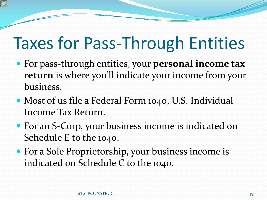# Taxes for Pass-Through Entities

- For pass-through entities, your **personal income tax return** is where you'll indicate your income from your business.
- Most of us file a Federal Form 1040, U.S. Individual Income Tax Return.
- For an S-Corp, your business income is indicated on Schedule E to the 1040.
- For a Sole Proprietorship, your business income is indicated on Schedule C to the 1040.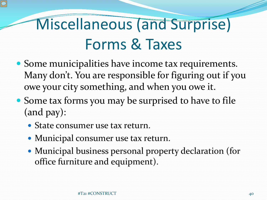# Miscellaneous (and Surprise) Forms & Taxes

- Some municipalities have income tax requirements. Many don't. You are responsible for figuring out if you owe your city something, and when you owe it.
- Some tax forms you may be surprised to have to file (and pay):
	- State consumer use tax return.
	- Municipal consumer use tax return.
	- Municipal business personal property declaration (for office furniture and equipment).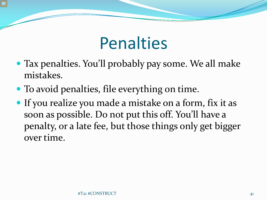# Penalties

- Tax penalties. You'll probably pay some. We all make mistakes.
- To avoid penalties, file everything on time.
- If you realize you made a mistake on a form, fix it as soon as possible. Do not put this off. You'll have a penalty, or a late fee, but those things only get bigger over time.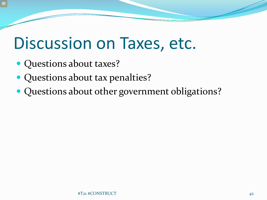#### Discussion on Taxes, etc.

- Questions about taxes?
- Questions about tax penalties?
- Questions about other government obligations?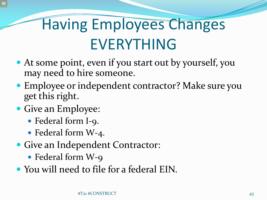# Having Employees Changes EVERYTHING

- At some point, even if you start out by yourself, you may need to hire someone.
- Employee or independent contractor? Make sure you get this right.
- Give an Employee:
	- Federal form I-9.
	- Federal form W-4.
- Give an Independent Contractor:
	- Federal form W-9
- You will need to file for a federal EIN.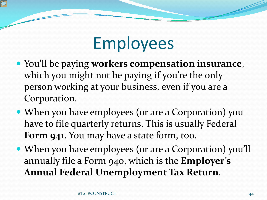# Employees

- You'll be paying **workers compensation insurance**, which you might not be paying if you're the only person working at your business, even if you are a Corporation.
- When you have employees (or are a Corporation) you have to file quarterly returns. This is usually Federal **Form 941**. You may have a state form, too.
- When you have employees (or are a Corporation) you'll annually file a Form 940, which is the **Employer's Annual Federal Unemployment Tax Return**.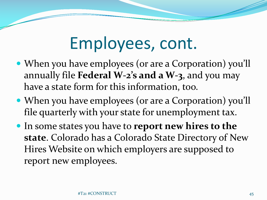# Employees, cont.

- When you have employees (or are a Corporation) you'll annually file **Federal W-2's and a W-3**, and you may have a state form for this information, too.
- When you have employees (or are a Corporation) you'll file quarterly with your state for unemployment tax.
- In some states you have to **report new hires to the state**. Colorado has a Colorado State Directory of New Hires Website on which employers are supposed to report new employees.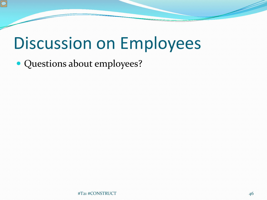# Discussion on Employees

• Questions about employees?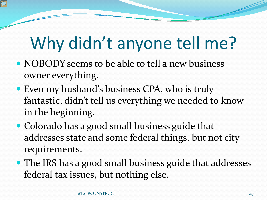# Why didn't anyone tell me?

- NOBODY seems to be able to tell a new business owner everything.
- Even my husband's business CPA, who is truly fantastic, didn't tell us everything we needed to know in the beginning.
- Colorado has a good small business guide that addresses state and some federal things, but not city requirements.
- The IRS has a good small business guide that addresses federal tax issues, but nothing else.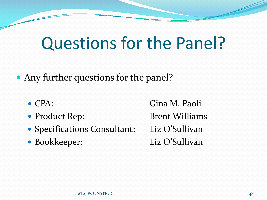# Questions for the Panel?

Any further questions for the panel?

- 
- 
- Specifications Consultant: Liz O'Sullivan
- 

 CPA: Gina M. Paoli • Product Rep: Brent Williams • Bookkeeper: Liz O'Sullivan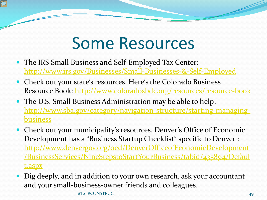## Some Resources

- The IRS Small Business and Self-Employed Tax Center: <http://www.irs.gov/Businesses/Small-Businesses-&-Self-Employed>
- Check out your state's resources. Here's the Colorado Business Resource Book: <http://www.coloradosbdc.org/resources/resource-book>
- The U.S. Small Business Administration may be able to help: [http://www.sba.gov/category/navigation-structure/starting-managing](http://www.sba.gov/category/navigation-structure/starting-managing-business)business
- Check out your municipality's resources. Denver's Office of Economic Development has a "Business Startup Checklist" specific to Denver : http://www.denvergov.org/oed/DenverOfficeofEconomicDevelopment [/BusinessServices/NineStepstoStartYourBusiness/tabid/435894/Defaul](http://www.denvergov.org/oed/DenverOfficeofEconomicDevelopment/BusinessServices/NineStepstoStartYourBusiness/tabid/435894/Default.aspx) t.aspx
- Dig deeply, and in addition to your own research, ask your accountant and your small-business-owner friends and colleagues. #T21 #CONSTRUCT 49